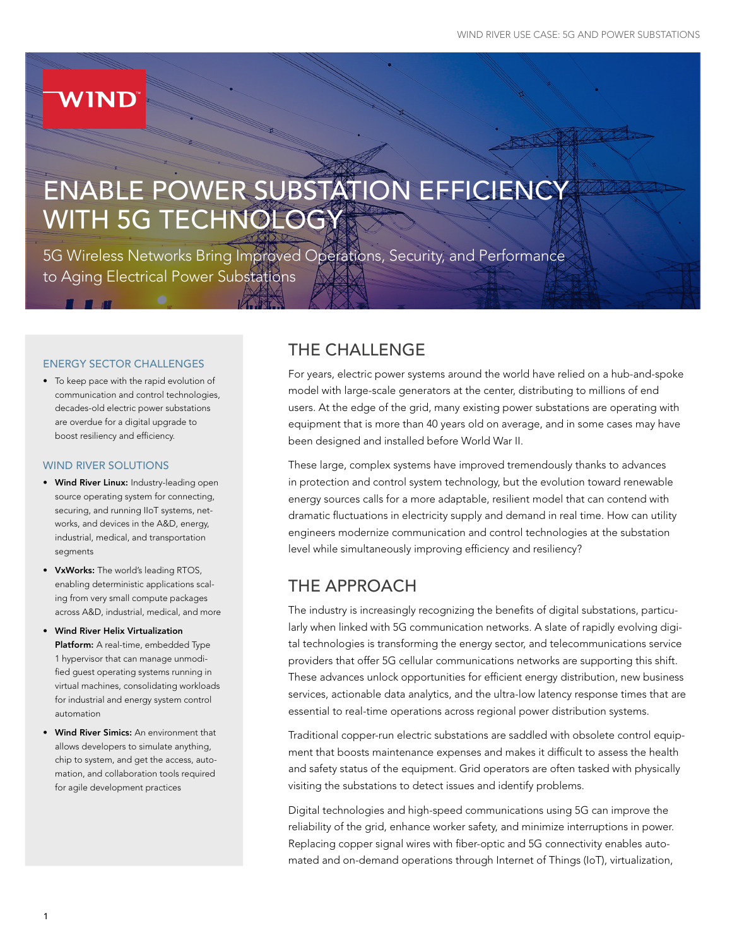# **WIND**

# ENABLE POWER SUBSTATION EFFICIENCY WITH 5G TECHNOLOGY

5G Wireless Networks Bring Improved Operations, Security, and Performance to Aging Electrical Power Substations

#### ENERGY SECTOR CHALLENGES

• To keep pace with the rapid evolution of communication and control technologies, decades-old electric power substations are overdue for a digital upgrade to boost resiliency and efficiency.

#### WIND RIVER SOLUTIONS

- Wind River Linux: Industry-leading open source operating system for connecting, securing, and running IIoT systems, networks, and devices in the A&D, energy, industrial, medical, and transportation segments
- VxWorks: The world's leading RTOS, enabling deterministic applications scaling from very small compute packages across A&D, industrial, medical, and more
- Wind River Helix Virtualization Platform: A real-time, embedded Type 1 hypervisor that can manage unmodified guest operating systems running in virtual machines, consolidating workloads for industrial and energy system control automation
- Wind River Simics: An environment that allows developers to simulate anything, chip to system, and get the access, automation, and collaboration tools required for agile development practices

# THE CHALLENGE

For years, electric power systems around the world have relied on a hub-and-spoke model with large-scale generators at the center, distributing to millions of end users. At the edge of the grid, many existing power substations are operating with equipment that is more than 40 years old on average, and in some cases may have been designed and installed before World War II.

These large, complex systems have improved tremendously thanks to advances in protection and control system technology, but the evolution toward renewable energy sources calls for a more adaptable, resilient model that can contend with dramatic fluctuations in electricity supply and demand in real time. How can utility engineers modernize communication and control technologies at the substation level while simultaneously improving efficiency and resiliency?

# THE APPROACH

The industry is increasingly recognizing the benefits of digital substations, particularly when linked with 5G communication networks. A slate of rapidly evolving digital technologies is transforming the energy sector, and telecommunications service providers that offer 5G cellular communications networks are supporting this shift. These advances unlock opportunities for efficient energy distribution, new business services, actionable data analytics, and the ultra-low latency response times that are essential to real-time operations across regional power distribution systems.

Traditional copper-run electric substations are saddled with obsolete control equipment that boosts maintenance expenses and makes it difficult to assess the health and safety status of the equipment. Grid operators are often tasked with physically visiting the substations to detect issues and identify problems.

Digital technologies and high-speed communications using 5G can improve the reliability of the grid, enhance worker safety, and minimize interruptions in power. Replacing copper signal wires with fiber-optic and 5G connectivity enables automated and on-demand operations through Internet of Things (IoT), virtualization,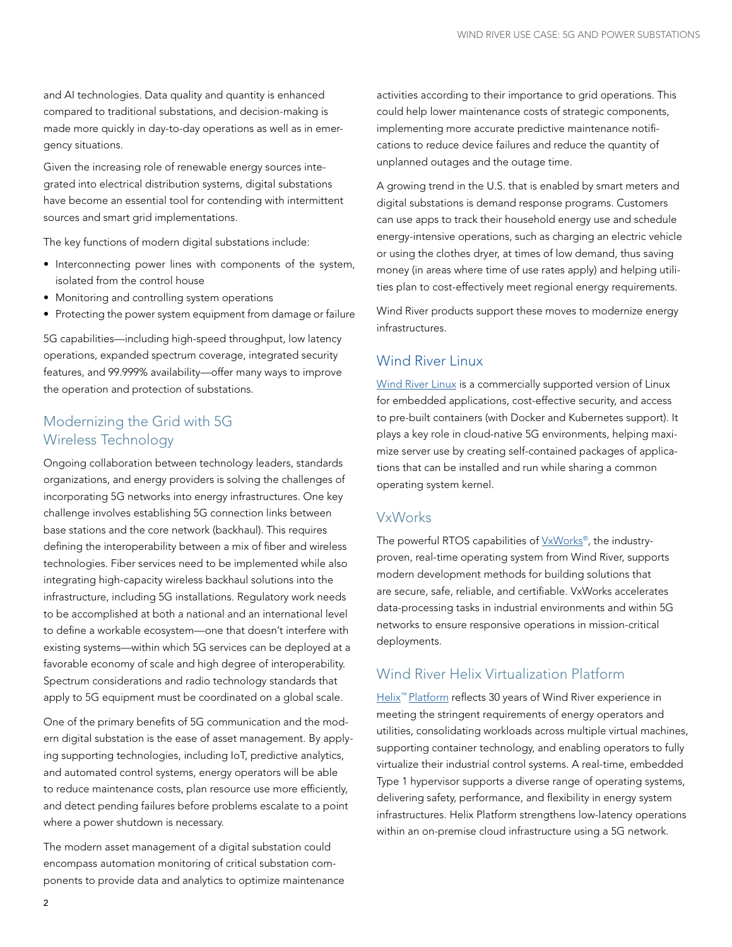and AI technologies. Data quality and quantity is enhanced compared to traditional substations, and decision-making is made more quickly in day-to-day operations as well as in emergency situations.

Given the increasing role of renewable energy sources integrated into electrical distribution systems, digital substations have become an essential tool for contending with intermittent sources and smart grid implementations.

The key functions of modern digital substations include:

- Interconnecting power lines with components of the system, isolated from the control house
- Monitoring and controlling system operations
- Protecting the power system equipment from damage or failure

5G capabilities—including high-speed throughput, low latency operations, expanded spectrum coverage, integrated security features, and 99.999% availability—offer many ways to improve the operation and protection of substations.

## Modernizing the Grid with 5G Wireless Technology

Ongoing collaboration between technology leaders, standards organizations, and energy providers is solving the challenges of incorporating 5G networks into energy infrastructures. One key challenge involves establishing 5G connection links between base stations and the core network (backhaul). This requires defining the interoperability between a mix of fiber and wireless technologies. Fiber services need to be implemented while also integrating high-capacity wireless backhaul solutions into the infrastructure, including 5G installations. Regulatory work needs to be accomplished at both a national and an international level to define a workable ecosystem—one that doesn't interfere with existing systems—within which 5G services can be deployed at a favorable economy of scale and high degree of interoperability. Spectrum considerations and radio technology standards that apply to 5G equipment must be coordinated on a global scale.

One of the primary benefits of 5G communication and the modern digital substation is the ease of asset management. By applying supporting technologies, including IoT, predictive analytics, and automated control systems, energy operators will be able to reduce maintenance costs, plan resource use more efficiently, and detect pending failures before problems escalate to a point where a power shutdown is necessary.

The modern asset management of a digital substation could encompass automation monitoring of critical substation components to provide data and analytics to optimize maintenance activities according to their importance to grid operations. This could help lower maintenance costs of strategic components, implementing more accurate predictive maintenance notifications to reduce device failures and reduce the quantity of unplanned outages and the outage time.

A growing trend in the U.S. that is enabled by smart meters and digital substations is demand response programs. Customers can use apps to track their household energy use and schedule energy-intensive operations, such as charging an electric vehicle or using the clothes dryer, at times of low demand, thus saving money (in areas where time of use rates apply) and helping utilities plan to cost-effectively meet regional energy requirements.

Wind River products support these moves to modernize energy infrastructures.

#### [Wind River Linux](https://www.windriver.com/products/linux/)

[Wind River Linux](https://www.windriver.com/products/linux/) is a commercially supported version of Linux for embedded applications, cost-effective security, and access to pre-built containers (with Docker and Kubernetes support). It plays a key role in cloud-native 5G environments, helping maximize server use by creating self-contained packages of applications that can be installed and run while sharing a common operating system kernel.

#### VxWorks

The powerful RTOS capabilities of [VxWorks®](https://www.windriver.com/products/vxworks/), the industryproven, real-time operating system from Wind River, supports modern development methods for building solutions that are secure, safe, reliable, and certifiable. VxWorks accelerates data-processing tasks in industrial environments and within 5G networks to ensure responsive operations in mission-critical deployments.

#### Wind River Helix Virtualization Platform

Helix<sup>™</sup> Platform reflects 30 years of Wind River experience in meeting the stringent requirements of energy operators and utilities, consolidating workloads across multiple virtual machines, supporting container technology, and enabling operators to fully virtualize their industrial control systems. A real-time, embedded Type 1 hypervisor supports a diverse range of operating systems, delivering safety, performance, and flexibility in energy system infrastructures. Helix Platform strengthens low-latency operations within an on-premise cloud infrastructure using a 5G network.